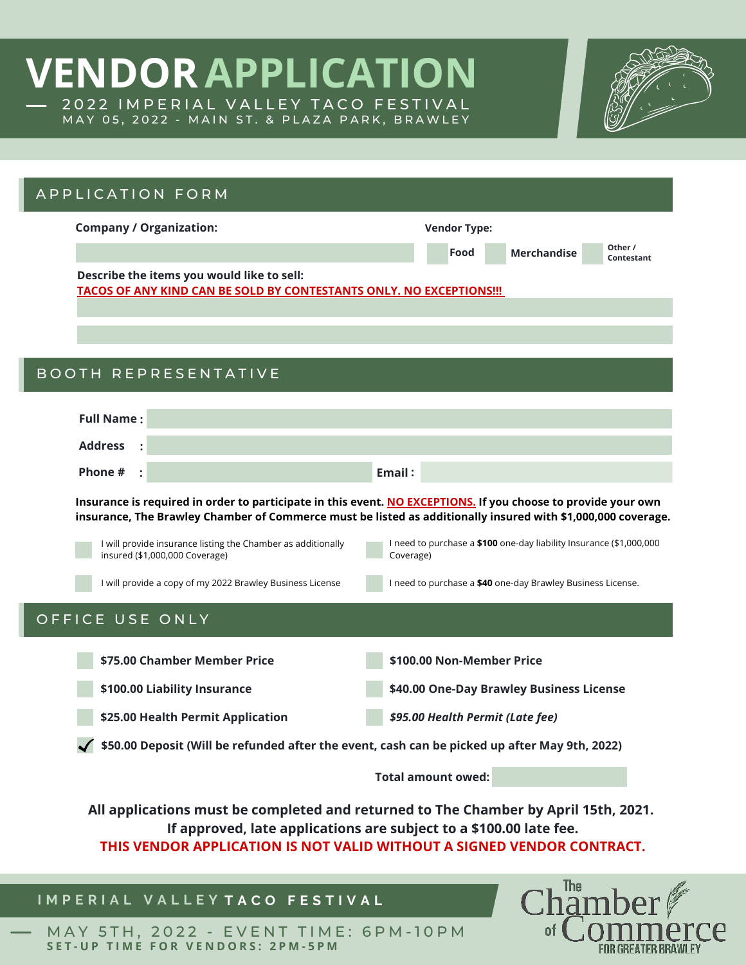## **VENDORAPPLICATION** 2022 IMPERIAL VALLEY TACO FESTIVAL MAY 05, 2022 - MAIN ST. & PLAZA PARK, BRAWLEY



 $of<sub>0</sub>$ 

erce

**FOR GREATER BRAWLEY** 

| APPLICATION FORM                                                                                                                                                                                                                    |                                                                                                                                                                                                                                                                                                                                                                                  |
|-------------------------------------------------------------------------------------------------------------------------------------------------------------------------------------------------------------------------------------|----------------------------------------------------------------------------------------------------------------------------------------------------------------------------------------------------------------------------------------------------------------------------------------------------------------------------------------------------------------------------------|
| <b>Company / Organization:</b>                                                                                                                                                                                                      | <b>Vendor Type:</b>                                                                                                                                                                                                                                                                                                                                                              |
|                                                                                                                                                                                                                                     | Other /<br>Food<br><b>Merchandise</b><br>Contestant                                                                                                                                                                                                                                                                                                                              |
| Describe the items you would like to sell:<br>TACOS OF ANY KIND CAN BE SOLD BY CONTESTANTS ONLY. NO EXCEPTIONS !!!                                                                                                                  |                                                                                                                                                                                                                                                                                                                                                                                  |
| <b>BOOTH REPRESENTATIVE</b>                                                                                                                                                                                                         |                                                                                                                                                                                                                                                                                                                                                                                  |
| <b>Full Name:</b>                                                                                                                                                                                                                   |                                                                                                                                                                                                                                                                                                                                                                                  |
| <b>Address</b>                                                                                                                                                                                                                      |                                                                                                                                                                                                                                                                                                                                                                                  |
| Phone #<br>$\ddot{\cdot}$                                                                                                                                                                                                           | Email:                                                                                                                                                                                                                                                                                                                                                                           |
| I will provide insurance listing the Chamber as additionally<br>insured (\$1,000,000 Coverage)<br>I will provide a copy of my 2022 Brawley Business License                                                                         | Insurance is required in order to participate in this event. NO EXCEPTIONS. If you choose to provide your own<br>insurance, The Brawley Chamber of Commerce must be listed as additionally insured with \$1,000,000 coverage.<br>I need to purchase a \$100 one-day liability Insurance (\$1,000,000<br>Coverage)<br>I need to purchase a \$40 one-day Brawley Business License. |
| OFFICE USE ONLY<br>\$75.00 Chamber Member Price                                                                                                                                                                                     | \$100.00 Non-Member Price                                                                                                                                                                                                                                                                                                                                                        |
| \$100.00 Liability Insurance                                                                                                                                                                                                        | \$40.00 One-Day Brawley Business License                                                                                                                                                                                                                                                                                                                                         |
| \$25.00 Health Permit Application                                                                                                                                                                                                   | \$95.00 Health Permit (Late fee)                                                                                                                                                                                                                                                                                                                                                 |
|                                                                                                                                                                                                                                     | $\checkmark$ \$50.00 Deposit (Will be refunded after the event, cash can be picked up after May 9th, 2022)                                                                                                                                                                                                                                                                       |
|                                                                                                                                                                                                                                     | <b>Total amount owed:</b>                                                                                                                                                                                                                                                                                                                                                        |
| All applications must be completed and returned to The Chamber by April 15th, 2021.<br>If approved, late applications are subject to a \$100.00 late fee.<br>THIS VENDOR APPLICATION IS NOT VALID WITHOUT A SIGNED VENDOR CONTRACT. |                                                                                                                                                                                                                                                                                                                                                                                  |
| IMPERIAL VALLEYTACO FESTIVAL                                                                                                                                                                                                        | $ChThe$ mher $\mathscr V$                                                                                                                                                                                                                                                                                                                                                        |

## **I M P E R I A L V A L L E Y T A C O F E S T I V A L**

MAY 5TH, 2022 - EVENT TIME: 6PM-10PM SET-UP TIME FOR VENDORS: 2PM-5PM